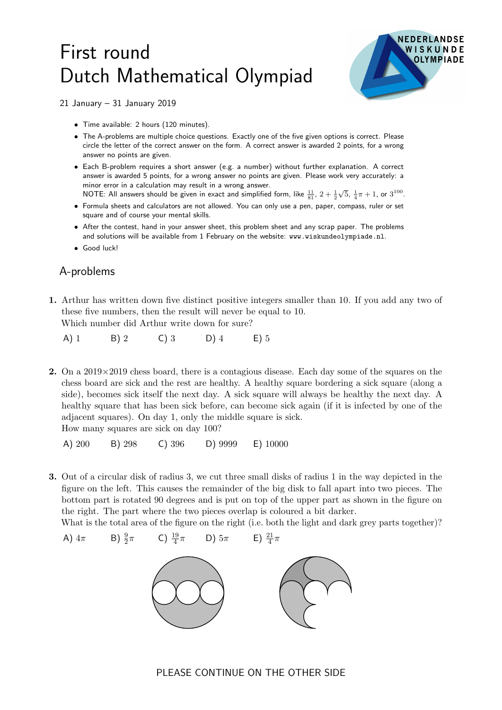## First round Dutch Mathematical Olympiad



21 January – 31 January 2019

- Time available: 2 hours (120 minutes).
- The A-problems are multiple choice questions. Exactly one of the five given options is correct. Please circle the letter of the correct answer on the form. A correct answer is awarded 2 points, for a wrong answer no points are given.
- Each B-problem requires a short answer (e.g. a number) without further explanation. A correct answer is awarded 5 points, for a wrong answer no points are given. Please work very accurately: a minor error in a calculation may result in a wrong answer. NOTE: All answers should be given in exact and simplified form, like  $\frac{11}{81}$ ,  $2+\frac{1}{2}$  $\sqrt{5}$ ,  $\frac{1}{4}\pi + 1$ , or  $3^{100}$ .
- Formula sheets and calculators are not allowed. You can only use a pen, paper, compass, ruler or set square and of course your mental skills.
- After the contest, hand in your answer sheet, this problem sheet and any scrap paper. The problems and solutions will be available from 1 February on the website: www.wiskundeolympiade.nl.
- Good luck!

## A-problems

A)  $4\pi$ 

1. Arthur has written down five distinct positive integers smaller than 10. If you add any two of these five numbers, then the result will never be equal to 10. Which number did Arthur write down for sure?

A) 1 B) 2 C) 3 D) 4 E) 5

2. On a  $2019 \times 2019$  chess board, there is a contagious disease. Each day some of the squares on the chess board are sick and the rest are healthy. A healthy square bordering a sick square (along a side), becomes sick itself the next day. A sick square will always be healthy the next day. A healthy square that has been sick before, can become sick again (if it is infected by one of the adjacent squares). On day 1, only the middle square is sick. How many squares are sick on day 100?

A) 200 B) 298 C) 396 D) 9999 E) 10000

3. Out of a circular disk of radius 3, we cut three small disks of radius 1 in the way depicted in the figure on the left. This causes the remainder of the big disk to fall apart into two pieces. The bottom part is rotated 90 degrees and is put on top of the upper part as shown in the figure on the right. The part where the two pieces overlap is coloured a bit darker.

What is the total area of the figure on the right (i.e. both the light and dark grey parts together)?

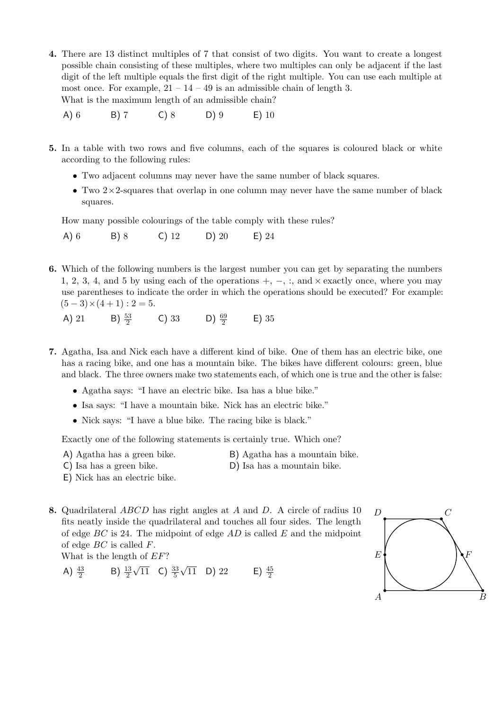- 4. There are 13 distinct multiples of 7 that consist of two digits. You want to create a longest possible chain consisting of these multiples, where two multiples can only be adjacent if the last digit of the left multiple equals the first digit of the right multiple. You can use each multiple at most once. For example,  $21 - 14 - 49$  is an admissible chain of length 3. What is the maximum length of an admissible chain?
	- A) 6 B) 7 C) 8 D) 9 E) 10
- 5. In a table with two rows and five columns, each of the squares is coloured black or white according to the following rules:
	- Two adjacent columns may never have the same number of black squares.
	- Two  $2 \times 2$ -squares that overlap in one column may never have the same number of black squares.

How many possible colourings of the table comply with these rules?

- A) 6 B) 8 C) 12 D) 20 E) 24
- 6. Which of the following numbers is the largest number you can get by separating the numbers 1, 2, 3, 4, and 5 by using each of the operations +, −, :, and × exactly once, where you may use parentheses to indicate the order in which the operations should be executed? For example:  $(5-3)\times(4+1):2=5.$ 
	- A) 21 B)  $\frac{53}{2}$ C) 33 D)  $\frac{69}{2}$ E) 35
- 7. Agatha, Isa and Nick each have a different kind of bike. One of them has an electric bike, one has a racing bike, and one has a mountain bike. The bikes have different colours: green, blue and black. The three owners make two statements each, of which one is true and the other is false:
	- Agatha says: "I have an electric bike. Isa has a blue bike."
	- Isa says: "I have a mountain bike. Nick has an electric bike."
	- Nick says: "I have a blue bike. The racing bike is black."

Exactly one of the following statements is certainly true. Which one?

- 
- A) Agatha has a green bike. B) Agatha has a mountain bike.
- C) Isa has a green bike. D) Isa has a mountain bike.
- 
- E) Nick has an electric bike.
- 8. Quadrilateral ABCD has right angles at A and D. A circle of radius 10 fits neatly inside the quadrilateral and touches all four sides. The length of edge  $BC$  is 24. The midpoint of edge  $AD$  is called  $E$  and the midpoint of edge BC is called F.

What is the length of EF?

A)  $\frac{43}{2}$  $B) \frac{13}{2}$  $\sqrt{11}$  C)  $\frac{33}{5}$  $\sqrt{11}$  D) 22 E)  $\frac{45}{2}$